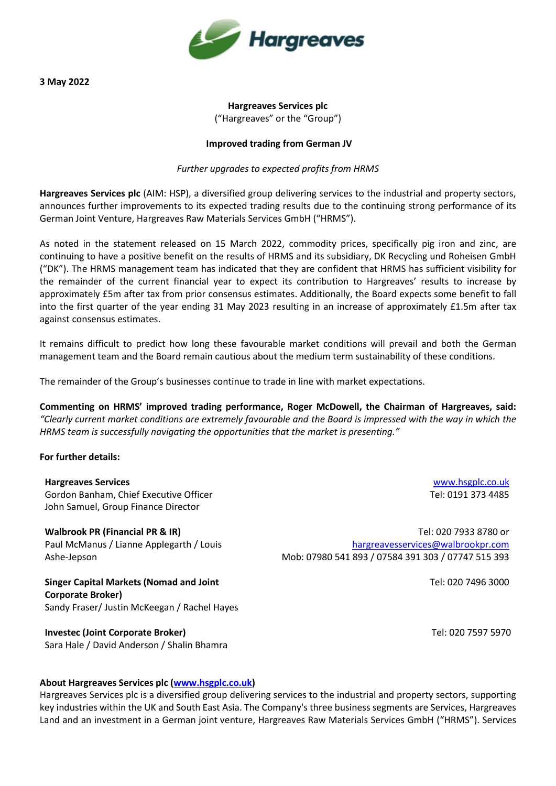

**3 May 2022**

# **Hargreaves Services plc**  ("Hargreaves" or the "Group")

## **Improved trading from German JV**

## *Further upgrades to expected profits from HRMS*

**Hargreaves Services plc** (AIM: HSP), a diversified group delivering services to the industrial and property sectors, announces further improvements to its expected trading results due to the continuing strong performance of its German Joint Venture, Hargreaves Raw Materials Services GmbH ("HRMS").

As noted in the statement released on 15 March 2022, commodity prices, specifically pig iron and zinc, are continuing to have a positive benefit on the results of HRMS and its subsidiary, DK Recycling und Roheisen GmbH ("DK"). The HRMS management team has indicated that they are confident that HRMS has sufficient visibility for the remainder of the current financial year to expect its contribution to Hargreaves' results to increase by approximately £5m after tax from prior consensus estimates. Additionally, the Board expects some benefit to fall into the first quarter of the year ending 31 May 2023 resulting in an increase of approximately £1.5m after tax against consensus estimates.

It remains difficult to predict how long these favourable market conditions will prevail and both the German management team and the Board remain cautious about the medium term sustainability of these conditions.

The remainder of the Group's businesses continue to trade in line with market expectations.

**Commenting on HRMS' improved trading performance, Roger McDowell, the Chairman of Hargreaves, said:**  *"Clearly current market conditions are extremely favourable and the Board is impressed with the way in which the HRMS team is successfully navigating the opportunities that the market is presenting."*

## **For further details:**

**Hargreaves Services** Gordon Banham, Chief Executive Officer John Samuel, Group Finance Director

**Walbrook PR (Financial PR & IR)** Paul McManus / Lianne Applegarth / Louis Ashe-Jepson

**Singer Capital Markets (Nomad and Joint Corporate Broker)** Sandy Fraser/ Justin McKeegan / Rachel Hayes

**Investec (Joint Corporate Broker)** Sara Hale / David Anderson / Shalin Bhamra

[www.hsgplc.co.uk](http://www.hsgplc.co.uk/) Tel: 0191 373 4485

Tel: 020 7933 8780 or [hargreavesservices@walbrookpr.com](mailto:hargreavesservices@walbrookpr.com) Mob: 07980 541 893 / 07584 391 303 / 07747 515 393

Tel: 020 7496 3000

Tel: 020 7597 5970

## **About Hargreaves Services plc [\(www.hsgplc.co.uk\)](http://www.hsgplc.co.uk/)**

Hargreaves Services plc is a diversified group delivering services to the industrial and property sectors, supporting key industries within the UK and South East Asia. The Company's three business segments are Services, Hargreaves Land and an investment in a German joint venture, Hargreaves Raw Materials Services GmbH ("HRMS"). Services